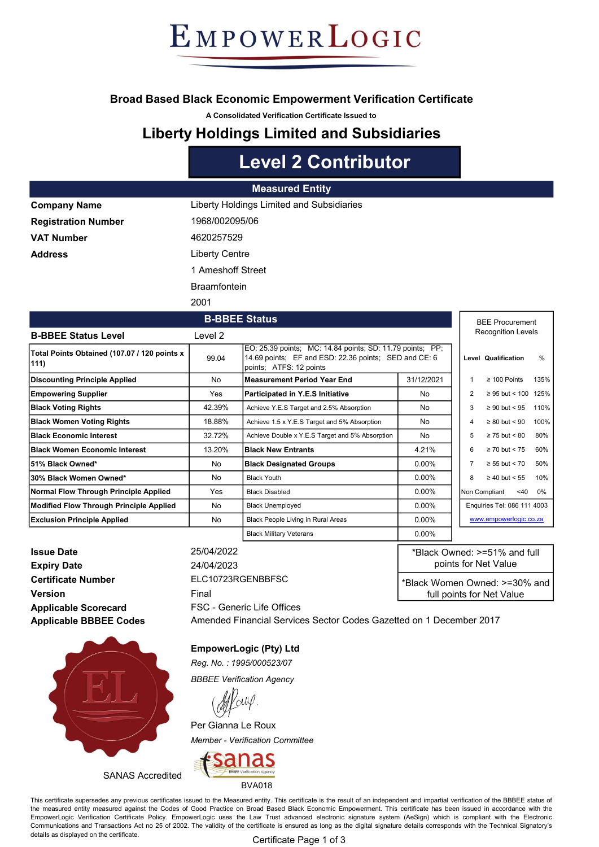# EMPOWERLOGIC

#### Broad Based Black Economic Empowerment Verification Certificate

A Consolidated Verification Certificate Issued to

### Liberty Holdings Limited and Subsidiaries

## Level 2 Contributor

|                            | <b>Measured Entity</b>                    |
|----------------------------|-------------------------------------------|
| <b>Company Name</b>        | Liberty Holdings Limited and Subsidiaries |
| <b>Registration Number</b> | 1968/002095/06                            |
| <b>VAT Number</b>          | 4620257529                                |
| <b>Address</b>             | <b>Liberty Centre</b>                     |
|                            | 1 Ameshoff Street                         |
|                            | <b>Braamfontein</b>                       |
|                            | 2001                                      |

|                                                      |         | <b>B-BBEE Status</b>                                                                                                                          |            |   | <b>BEE Procurement</b>      |      |  |
|------------------------------------------------------|---------|-----------------------------------------------------------------------------------------------------------------------------------------------|------------|---|-----------------------------|------|--|
| <b>B-BBEE Status Level</b>                           | Level 2 |                                                                                                                                               |            |   | <b>Recognition Levels</b>   |      |  |
| Total Points Obtained (107.07 / 120 points x<br>111) | 99.04   | EO: 25.39 points; MC: 14.84 points; SD: 11.79 points; PP:<br>14.69 points; EF and ESD: 22.36 points; SED and CE: 6<br>points; ATFS: 12 points |            |   | Level Qualification         | $\%$ |  |
| Discounting Principle Applied                        | No      | <b>Measurement Period Year End</b>                                                                                                            | 31/12/2021 |   | $\geq 100$ Points           | 135% |  |
| <b>Empowering Supplier</b>                           | Yes     | Participated in Y.E.S Initiative                                                                                                              | No.        | 2 | $\geq$ 95 but < 100 125%    |      |  |
| <b>Black Voting Rights</b>                           | 42.39%  | Achieve Y.E.S Target and 2.5% Absorption                                                                                                      | No         | 3 | $\geq 90$ but < 95          | 110% |  |
| <b>Black Women Voting Rights</b>                     | 18.88%  | Achieve 1.5 x Y.E.S Target and 5% Absorption                                                                                                  | No         | 4 | $\geq 80$ but < 90          | 100% |  |
| <b>IBlack Economic Interest</b>                      | 32.72%  | Achieve Double x Y.E.S Target and 5% Absorption                                                                                               | No         | 5 | $\geq$ 75 but < 80          | 80%  |  |
| <b>IBlack Women Economic Interest</b>                | 13.20%  | <b>Black New Entrants</b>                                                                                                                     | 4.21%      | 6 | $\geq$ 70 but < 75          | 60%  |  |
| l51% Black Owned*                                    | No      | <b>Black Designated Groups</b>                                                                                                                | $0.00\%$   | 7 | $\geq 55$ but < 70          | 50%  |  |
| l30% Black Women Owned*                              | No      | <b>Black Youth</b>                                                                                                                            | $0.00\%$   | 8 | $\geq 40$ but < 55          | 10%  |  |
| Normal Flow Through Principle Applied                | Yes     | <b>Black Disabled</b>                                                                                                                         | $0.00\%$   |   | Non Compliant<br>$<$ 40     | 0%   |  |
| Modified Flow Through Principle Applied              | No      | <b>Black Unemployed</b>                                                                                                                       | $0.00\%$   |   | Enquiries Tel: 086 111 4003 |      |  |
| <b>Exclusion Principle Applied</b>                   | No      | Black People Living in Rural Areas                                                                                                            | $0.00\%$   |   | www.empowerlogic.co.za      |      |  |
|                                                      |         | <b>Black Military Veterans</b>                                                                                                                | $0.00\%$   |   |                             |      |  |

Issue Date 25/04/2022 **Expiry Date** 24/04/2023 Certificate Number ELC10723RGENBBFSC Version **Final** Applicable Scorecard Applicable BBBEE Codes

FSC - Generic Life Offices

\*Black Owned: >=51% and full points for Net Value \*Black Women Owned: >=30% and full points for Net Value

Amended Financial Services Sector Codes Gazetted on 1 December 2017



SANAS Accredited

EmpowerLogic (Pty) Ltd

Reg. No. : 1995/000523/07

BBBEE Verification Agency

Per Gianna Le Roux Member - Verification Committee



This certificate supersedes any previous certificates issued to the Measured entity. This certificate is the result of an independent and impartial verification of the BBBEE status of the measured entity measured against the Codes of Good Practice on Broad Based Black Economic Empowerment. This certificate has been issued in accordance with the EmpowerLogic Verification Certificate Policy. EmpowerLogic uses the Law Trust advanced electronic signature system (AeSign) which is compliant with the Electronic Communications and Transactions Act no 25 of 2002. The validity of the certificate is ensured as long as the digital signature details corresponds with the Technical Signatory's details as displayed on the certificate.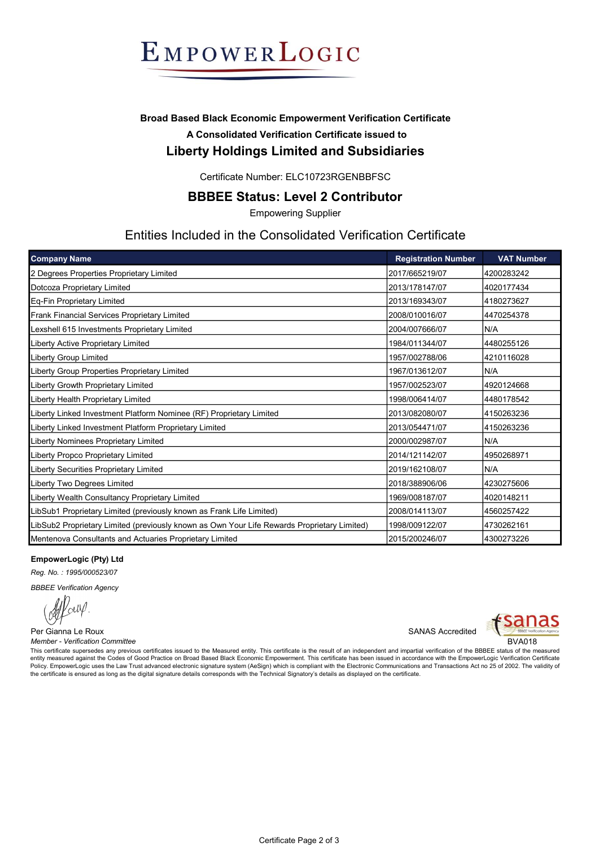

#### Broad Based Black Economic Empowerment Verification Certificate A Consolidated Verification Certificate issued to Liberty Holdings Limited and Subsidiaries

Certificate Number: ELC10723RGENBBFSC

#### BBBEE Status: Level 2 Contributor

Empowering Supplier

#### Entities Included in the Consolidated Verification Certificate

| <b>Company Name</b>                                                                         | <b>Registration Number</b> | <b>VAT Number</b> |
|---------------------------------------------------------------------------------------------|----------------------------|-------------------|
| 2 Degrees Properties Proprietary Limited                                                    | 2017/665219/07             | 4200283242        |
| Dotcoza Proprietary Limited                                                                 | 2013/178147/07             | 4020177434        |
| Eq-Fin Proprietary Limited                                                                  | 2013/169343/07             | 4180273627        |
| Frank Financial Services Proprietary Limited                                                | 2008/010016/07             | 4470254378        |
| Lexshell 615 Investments Proprietary Limited                                                | 2004/007666/07             | N/A               |
| Liberty Active Proprietary Limited                                                          | 1984/011344/07             | 4480255126        |
| Liberty Group Limited                                                                       | 1957/002788/06             | 4210116028        |
| Liberty Group Properties Proprietary Limited                                                | 1967/013612/07             | N/A               |
| Liberty Growth Proprietary Limited                                                          | 1957/002523/07             | 4920124668        |
| Liberty Health Proprietary Limited                                                          | 1998/006414/07             | 4480178542        |
| Liberty Linked Investment Platform Nominee (RF) Proprietary Limited                         | 2013/082080/07             | 4150263236        |
| Liberty Linked Investment Platform Proprietary Limited                                      | 2013/054471/07             | 4150263236        |
| Liberty Nominees Proprietary Limited                                                        | 2000/002987/07             | N/A               |
| Liberty Propco Proprietary Limited                                                          | 2014/121142/07             | 4950268971        |
| Liberty Securities Proprietary Limited                                                      | 2019/162108/07             | N/A               |
| Liberty Two Degrees Limited                                                                 | 2018/388906/06             | 4230275606        |
| Liberty Wealth Consultancy Proprietary Limited                                              | 1969/008187/07             | 4020148211        |
| LibSub1 Proprietary Limited (previously known as Frank Life Limited)                        | 2008/014113/07             | 4560257422        |
| LibSub2 Proprietary Limited (previously known as Own Your Life Rewards Proprietary Limited) | 1998/009122/07             | 4730262161        |
| Mentenova Consultants and Actuaries Proprietary Limited                                     | 2015/200246/07             | 4300273226        |

#### EmpowerLogic (Pty) Ltd

Reg. No. : 1995/000523/07

BBBEE Verification Agency

Per Gianna Le Roux **SANAS** Accredited Member - Verification Committee BVA018



This certificate supersedes any previous certificates issued to the Measured entity. This certificate is the result of an independent and impartial verification of the BBBEE status of the measured entity measured against the Codes of Good Practice on Broad Based Black Economic Empowerment. This certificate has been issued in accordance with the EmpowerLogic Verification Certificate Policy. EmpowerLogic uses the Law Trust advanced electronic signature system (AeSign) which is compliant with the Electronic Communications and Transactions Act no 25 of 2002. The validity of the certificate is ensured as long as the digital signature details corresponds with the Technical Signatory's details as displayed on the certificate.